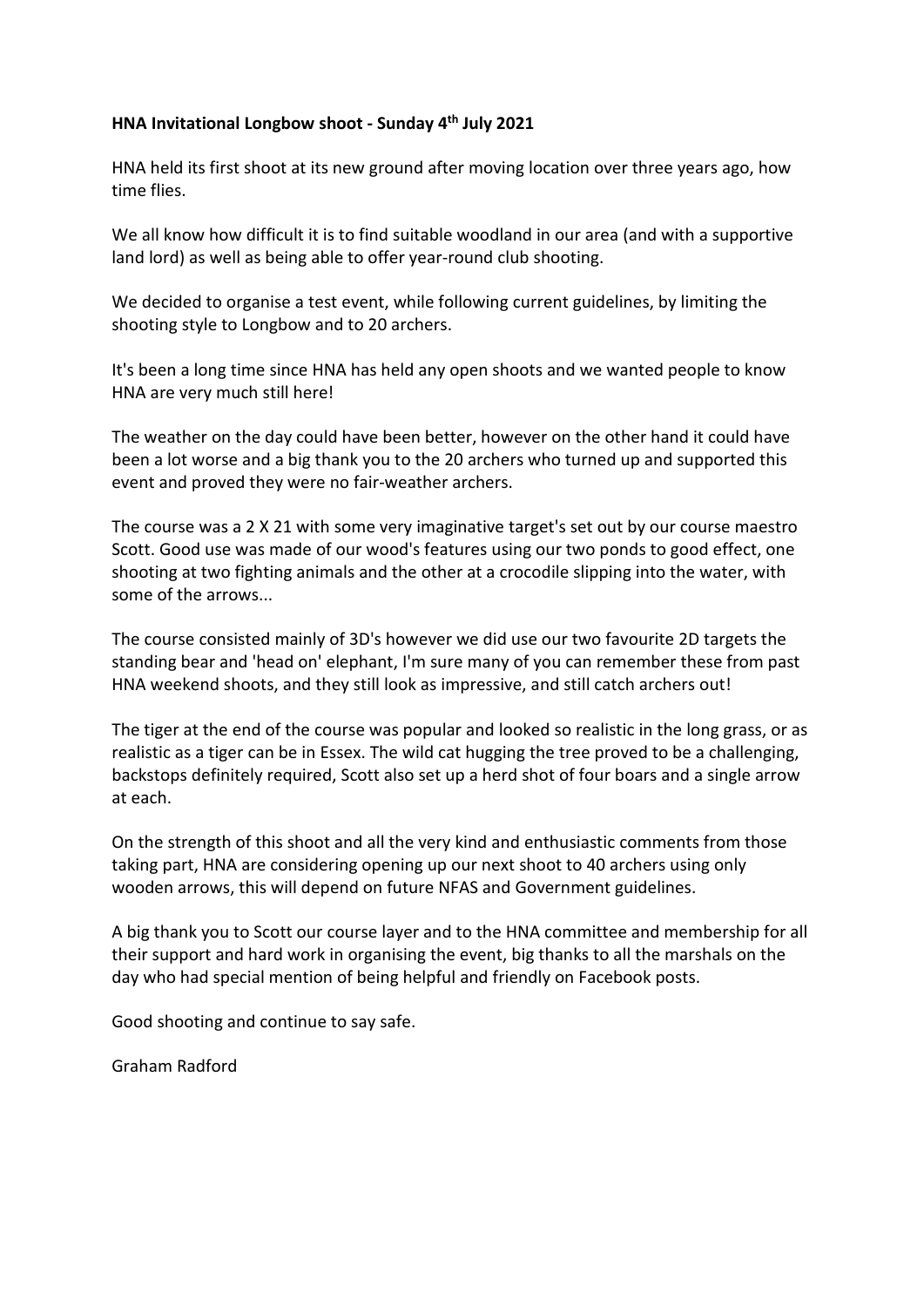## **HNA Invitational Longbow shoot - Sunday 4th July 2021**

HNA held its first shoot at its new ground after moving location over three years ago, how time flies.

We all know how difficult it is to find suitable woodland in our area (and with a supportive land lord) as well as being able to offer year-round club shooting.

We decided to organise a test event, while following current guidelines, by limiting the shooting style to Longbow and to 20 archers.

It's been a long time since HNA has held any open shoots and we wanted people to know HNA are very much still here!

The weather on the day could have been better, however on the other hand it could have been a lot worse and a big thank you to the 20 archers who turned up and supported this event and proved they were no fair-weather archers.

The course was a 2 X 21 with some very imaginative target's set out by our course maestro Scott. Good use was made of our wood's features using our two ponds to good effect, one shooting at two fighting animals and the other at a crocodile slipping into the water, with some of the arrows...

The course consisted mainly of 3D's however we did use our two favourite 2D targets the standing bear and 'head on' elephant, I'm sure many of you can remember these from past HNA weekend shoots, and they still look as impressive, and still catch archers out!

The tiger at the end of the course was popular and looked so realistic in the long grass, or as realistic as a tiger can be in Essex. The wild cat hugging the tree proved to be a challenging, backstops definitely required, Scott also set up a herd shot of four boars and a single arrow at each.

On the strength of this shoot and all the very kind and enthusiastic comments from those taking part, HNA are considering opening up our next shoot to 40 archers using only wooden arrows, this will depend on future NFAS and Government guidelines.

A big thank you to Scott our course layer and to the HNA committee and membership for all their support and hard work in organising the event, big thanks to all the marshals on the day who had special mention of being helpful and friendly on Facebook posts.

Good shooting and continue to say safe.

Graham Radford